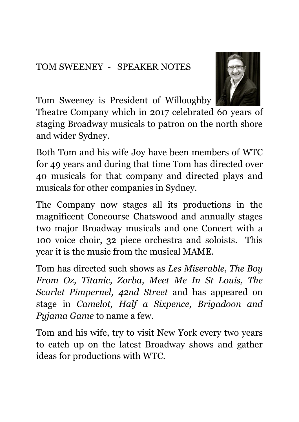## TOM SWEENEY - SPEAKER NOTES



Tom Sweeney is President of Willoughby

Theatre Company which in 2017 celebrated 60 years of staging Broadway musicals to patron on the north shore and wider Sydney.

Both Tom and his wife Joy have been members of WTC for 49 years and during that time Tom has directed over 40 musicals for that company and directed plays and musicals for other companies in Sydney.

The Company now stages all its productions in the magnificent Concourse Chatswood and annually stages two major Broadway musicals and one Concert with a 100 voice choir, 32 piece orchestra and soloists. This year it is the music from the musical MAME.

Tom has directed such shows as *Les Miserable, The Boy From Oz, Titanic, Zorba, Meet Me In St Louis, The Scarlet Pimpernel, 42nd Street* and has appeared on stage in *Camelot, Half a Sixpence, Brigadoon and Pyjama Game* to name a few.

Tom and his wife, try to visit New York every two years to catch up on the latest Broadway shows and gather ideas for productions with WTC.